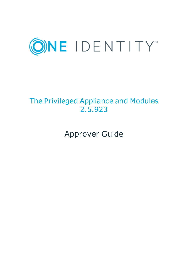

# The Privileged Appliance and Modules 2.5.923

Approver Guide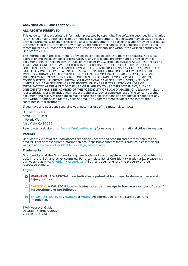#### **Copyright 2020 One Identity LLC.**

#### **ALL RIGHTS RESERVED.**

This guide contains proprietary information protected by copyright. The software described in this guide is furnished under a software license or nondisclosure agreement. This software may be used or copied only in accordance with the terms of the applicable agreement. No part of this guide may be reproduced or transmitted in any form or by any means, electronic or mechanical, including photocopying and recording for any purpose other than the purchaser's personal use without the written permission of One Identity LLC .

The information in this document is provided in connection with One Identity products. No license, express or implied, by estoppel or otherwise, to any intellectual property right is granted by this document or in connection with the sale of One Identity LLC products. EXCEPT AS SET FORTH IN THE TERMS AND CONDITIONS AS SPECIFIED IN THE LICENSE AGREEMENT FOR THIS PRODUCT, ONE IDENTITY ASSUMES NO LIABILITY WHATSOEVER AND DISCLAIMS ANY EXPRESS, IMPLIED OR STATUTORY WARRANTY RELATING TO ITS PRODUCTS INCLUDING, BUT NOT LIMITED TO, THE IMPLIED WARRANTY OF MERCHANTABILITY, FITNESS FOR A PARTICULAR PURPOSE, OR NON-INFRINGEMENT. IN NO EVENT SHALL ONE IDENTITY BE LIABLE FOR ANY DIRECT, INDIRECT, CONSEQUENTIAL, PUNITIVE, SPECIAL OR INCIDENTAL DAMAGES (INCLUDING, WITHOUT LIMITATION, DAMAGES FOR LOSS OF PROFITS, BUSINESS INTERRUPTION OR LOSS OF INFORMATION) ARISING OUT OF THE USE OR INABILITY TO USE THIS DOCUMENT, EVEN IF ONE IDENTITY HAS BEEN ADVISED OF THE POSSIBILITY OF SUCH DAMAGES. One Identity makes no representations or warranties with respect to the accuracy or completeness of the contents of this document and reserves the right to make changes to specifications and product descriptions at any time without notice. One Identity does not make any commitment to update the information contained in this document.

If you have any questions regarding your potential use of this material, contact:

One Identity LLC. Attn: LEGAL Dept 4 Polaris Way Aliso Viejo, CA 92656

Refer to our Web site ([http://www.OneIdentity.com](http://www.oneidentity.com/)) for regional and international office information.

#### **Patents**

One Identity is proud of our advanced technology. Patents and pending patents may apply to this product. For the most current information about applicable patents for this product, please visit our website at [http://www.OneIdentity.com/legal/patents.aspx](http://www.oneidentity.com/legal/patents.aspx).

#### **Trademarks**

One Identity and the One Identity logo are trademarks and registered trademarks of One Identity LLC. in the U.S.A. and other countries. For a complete list of One Identity trademarks, please visit our website at [www.OneIdentity.com/legal](http://www.oneidentity.com/legal). All other trademarks are the property of their respective owners.

#### **Legend**

- **WARNING: A WARNING icon indicates a potential for property damage, personal injury, or death.**
- **CAUTION: A CAUTION icon indicates potential damage to hardware or loss of data if instructions are not followed.**
- IMPORTANT, NOTE, TIP, MOBILE, or VIDEO: An information icon indicates supporting Œ information.

TPAM Approver Guide Updated - February 2020 Version - 2.5.923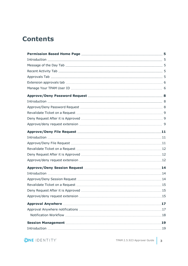# **Contents**

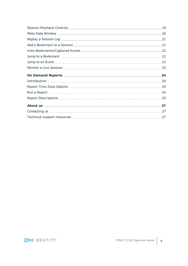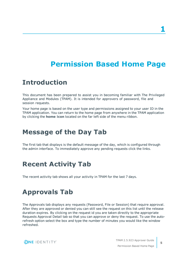# **Permission Based Home Page**

## <span id="page-4-1"></span><span id="page-4-0"></span>**Introduction**

This document has been prepared to assist you in becoming familiar with The Privileged Appliance and Modules (TPAM). It is intended for approvers of password, file and session requests.

Your home page is based on the user type and permissions assigned to your user ID in the TPAM application. You can return to the home page from anywhere in the TPAM application by clicking the **home icon** located on the far left side of the menu ribbon.

## <span id="page-4-2"></span>**Message of the Day Tab**

The first tab that displays is the default message of the day, which is configured through the admin interface. To immediately approve any pending requests click the links.

# <span id="page-4-3"></span>**Recent Activity Tab**

<span id="page-4-4"></span>The recent activity tab shows all your activity in TPAM for the last 7 days.

## **Approvals Tab**

The Approvals tab displays any requests (Password, File or Session) that require approval. After they are approved or denied you can still see the request on this list until the release duration expires. By clicking on the request id you are taken directly to the appropriate Requests Approval Detail tab so that you can approve or deny the request. To use the autorefresh option select the box and type the number of minutes you would like the window refreshed.



TPAM 2.5.923 Approver Guide Permission Based Home Page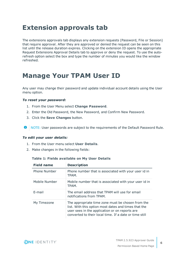# <span id="page-5-0"></span>**Extension approvals tab**

The extensions approvals tab displays any extension requests (Password, File or Session) that require approval. After they are approved or denied the request can be seen on this list until the release duration expires. Clicking on the extension ID opens the appropriate Request Extensions Approval Details tab to approve or deny the request. To use the autorefresh option select the box and type the number of minutes you would like the window refreshed.

## <span id="page-5-1"></span>**Manage Your TPAM User ID**

Any user may change their password and update individual account details using the User menu option.

### *To reset your password:*

- 1. From the User Menu select **Change Password**.
- 2. Enter the Old Password, the New Password, and Confirm New Password.
- 3. Click the **Save Changes** button.
- **O** NOTE: User passwords are subject to the requirements of the Default Password Rule.

### *To edit your user details:*

- 1. From the User menu select **User Details**.
- 2. Make changes in the following fields:

| <b>Field name</b> | <b>Description</b>                                                                                                                                                                                                    |
|-------------------|-----------------------------------------------------------------------------------------------------------------------------------------------------------------------------------------------------------------------|
| Phone Number      | Phone number that is associated with your user id in<br>TPAM.                                                                                                                                                         |
| Mobile Number     | Mobile number that is associated with your user id in<br>TPAM.                                                                                                                                                        |
| E-mail            | The email address that TPAM will use for email<br>notifications from TPAM.                                                                                                                                            |
| My Timezone       | The appropriate time zone must be chosen from the<br>list. With this option most dates and times that the<br>user sees in the application or on reports are<br>converted to their local time. If a date or time still |

### **Table 1: Fields available on My User Details**

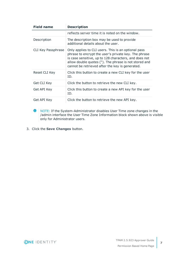| <b>Field name</b>  | <b>Description</b>                                                                                                                                                                                                                                                               |  |
|--------------------|----------------------------------------------------------------------------------------------------------------------------------------------------------------------------------------------------------------------------------------------------------------------------------|--|
|                    | reflects server time it is noted on the window.                                                                                                                                                                                                                                  |  |
| Description        | The description box may be used to provide<br>additional details about the user.                                                                                                                                                                                                 |  |
| CLI Key Passphrase | Only applies to CLI users. This is an optional pass<br>phrase to encrypt the user's private key. The phrase<br>is case sensitive, up to 128 characters, and does not<br>allow double quotes ("). The phrase is not stored and<br>cannot be retrieved after the key is generated. |  |
| Reset CLI Key      | Click this button to create a new CLI key for the user<br>ID.                                                                                                                                                                                                                    |  |
| Get CLI Key        | Click the button to retrieve the new CLI key.                                                                                                                                                                                                                                    |  |
| Get API Key        | Click this button to create a new API key for the user<br>ID.                                                                                                                                                                                                                    |  |
| Get API Key        | Click the button to retrieve the new API key.                                                                                                                                                                                                                                    |  |

**O** NOTE: If the System-Administrator disables User Time zone changes in the /admin interface the User Time Zone Information block shown above is visible only for Administrator users.

3. Click the **Save Changes** button.

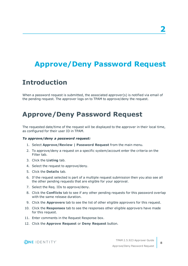# <span id="page-7-0"></span>**Approve/Deny Password Request**

## <span id="page-7-1"></span>**Introduction**

When a password request is submitted, the associated approver(s) is notified via email of the pending request. The approver logs on to TPAM to approve/deny the request.

# <span id="page-7-2"></span>**Approve/Deny Password Request**

The requested date/time of the request will be displayed to the approver in their local time, as configured for their user ID in TPAM.

### *To approve/deny a password request:*

- 1. Select **Approve/Review | Password Request** from the main menu.
- 2. To approve/deny a request on a specific system/account enter the criteria on the Filter tab.
- 3. Click the **Listing** tab.
- 4. Select the request to approve/deny.
- 5. Click the **Details** tab.
- 6. If the request selected is part of a multiple request submission then you also see all the other pending requests that are eligible for your approval.
- 7. Select the Req. IDs to approve/deny.
- 8. Click the **Conflicts** tab to see if any other pending requests for this password overlap with the same release duration.
- 9. Click the **Approvers** tab to see the list of other eligible approvers for this request.
- 10. Click the **Responses** tab to see the responses other eligible approvers have made for this request.
- 11. Enter comments in the Request Response box.
- 12. Click the **Approve Request** or **Deny Request** button.

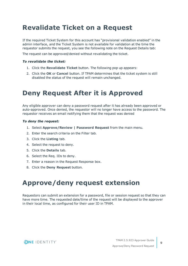# <span id="page-8-0"></span>**Revalidate Ticket on a Request**

If the required Ticket System for this account has "provisional validation enabled" in the admin interface, and the Ticket System is not available for validation at the time the requestor submits the request, you see the following note on the Request Details tab:

The request can be approved/denied without revalidating the ticket.

### *To revalidate the ticket:*

- 1. Click the **Revalidate Ticket** button. The following pop up appears:
- 2. Click the **OK** or **Cancel** button. If TPAM determines that the ticket system is still disabled the status of the request will remain unchanged.

# <span id="page-8-1"></span>**Deny Request After it is Approved**

Any eligible approver can deny a password request after it has already been approved or auto-approved. Once denied, the requestor will no longer have access to the password. The requestor receives an email notifying them that the request was denied

### *To deny the request:*

- 1. Select **Approve/Review | Password Request** from the main menu.
- 2. Enter the search criteria on the Filter tab.
- 3. Click the **Listing** tab.
- 4. Select the request to deny.
- 5. Click the **Details** tab.
- 6. Select the Req. IDs to deny.
- 7. Enter a reason in the Request Response box.
- <span id="page-8-2"></span>8. Click the **Deny Request** button.

# **Approve/deny request extension**

Requestors can submit an extension for a password, file or session request so that they can have more time. The requested date/time of the request will be displayed to the approver in their local time, as configured for their user ID in TPAM.

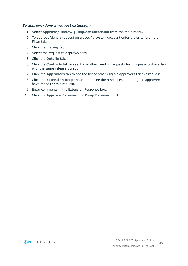### *To approve/deny a request extension:*

- 1. Select **Approve/Review | Request Extension** from the main menu.
- 2. To approve/deny a request on a specific system/account enter the criteria on the Filter tab.
- 3. Click the **Listing** tab.
- 4. Select the request to approve/deny.
- 5. Click the **Details** tab.
- 6. Click the **Conflicts** tab to see if any other pending requests for this password overlap with the same release duration.
- 7. Click the **Approvers** tab to see the list of other eligible approvers for this request.
- 8. Click the **Extension Responses** tab to see the responses other eligible approvers have made for this request.
- 9. Enter comments in the Extension Response box.
- 10. Click the **Approve Extension** or **Deny Extension** button.

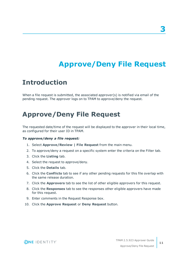# **Approve/Deny File Request**

## <span id="page-10-1"></span><span id="page-10-0"></span>**Introduction**

When a file request is submitted, the associated approver(s) is notified via email of the pending request. The approver logs on to TPAM to approve/deny the request.

# <span id="page-10-2"></span>**Approve/Deny File Request**

The requested date/time of the request will be displayed to the approver in their local time, as configured for their user ID in TPAM.

### *To approve/deny a file request:*

- 1. Select **Approve/Review | File Request** from the main menu.
- 2. To approve/deny a request on a specific system enter the criteria on the Filter tab.
- 3. Click the **Listing** tab.
- 4. Select the request to approve/deny.
- 5. Click the **Details** tab.
- 6. Click the **Conflicts** tab to see if any other pending requests for this file overlap with the same release duration.
- 7. Click the **Approvers** tab to see the list of other eligible approvers for this request.
- 8. Click the **Responses** tab to see the responses other eligible approvers have made for this request.
- 9. Enter comments in the Request Response box.
- 10. Click the **Approve Request** or **Deny Request** button.



**11**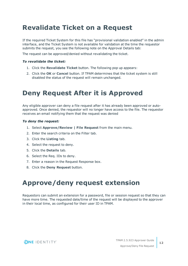# <span id="page-11-0"></span>**Revalidate Ticket on a Request**

If the required Ticket System for this file has "provisional validation enabled" in the admin interface, and the Ticket System is not available for validation at the time the requestor submits the request, you see the following note on the Approval Details tab:

The request can be approved/denied without revalidating the ticket.

### *To revalidate the ticket:*

- 1. Click the **Revalidate Ticket** button. The following pop up appears:
- 2. Click the **OK** or **Cancel** button. If TPAM determines that the ticket system is still disabled the status of the request will remain unchanged.

# <span id="page-11-1"></span>**Deny Request After it is Approved**

Any eligible approver can deny a file request after it has already been approved or autoapproved. Once denied, the requestor will no longer have access to the file. The requestor receives an email notifying them that the request was denied

### *To deny the request:*

- 1. Select **Approve/Review | File Request** from the main menu.
- 2. Enter the search criteria on the Filter tab.
- 3. Click the **Listing** tab.
- 4. Select the request to deny.
- 5. Click the **Details** tab.
- 6. Select the Req. IDs to deny.
- 7. Enter a reason in the Request Response box.
- <span id="page-11-2"></span>8. Click the **Deny Request** button.

# **Approve/deny request extension**

Requestors can submit an extension for a password, file or session request so that they can have more time. The requested date/time of the request will be displayed to the approver in their local time, as configured for their user ID in TPAM.

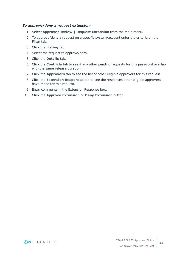### *To approve/deny a request extension:*

- 1. Select **Approve/Review | Request Extension** from the main menu.
- 2. To approve/deny a request on a specific system/account enter the criteria on the Filter tab.
- 3. Click the **Listing** tab.
- 4. Select the request to approve/deny.
- 5. Click the **Details** tab.
- 6. Click the **Conflicts** tab to see if any other pending requests for this password overlap with the same release duration.
- 7. Click the **Approvers** tab to see the list of other eligible approvers for this request.
- 8. Click the **Extension Responses** tab to see the responses other eligible approvers have made for this request.
- 9. Enter comments in the Extension Response box.
- 10. Click the **Approve Extension** or **Deny Extension** button.

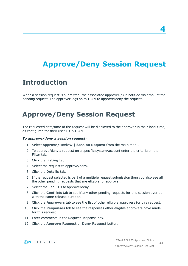# **4**

# <span id="page-13-0"></span>**Approve/Deny Session Request**

### <span id="page-13-1"></span>**Introduction**

When a session request is submitted, the associated approver(s) is notified via email of the pending request. The approver logs on to TPAM to approve/deny the request.

# <span id="page-13-2"></span>**Approve/Deny Session Request**

The requested date/time of the request will be displayed to the approver in their local time, as configured for their user ID in TPAM.

#### *To approve/deny a session request:*

- 1. Select **Approve/Review | Session Request** from the main menu.
- 2. To approve/deny a request on a specific system/account enter the criteria on the Filter tab.
- 3. Click the **Listing** tab.
- 4. Select the request to approve/deny.
- 5. Click the **Details** tab.
- 6. If the request selected is part of a multiple request submission then you also see all the other pending requests that are eligible for approval.
- 7. Select the Req. IDs to approve/deny.
- 8. Click the **Conflicts** tab to see if any other pending requests for this session overlap with the same release duration.
- 9. Click the **Approvers** tab to see the list of other eligible approvers for this request.
- 10. Click the **Responses** tab to see the responses other eligible approvers have made for this request.
- 11. Enter comments in the Request Response box.
- 12. Click the **Approve Request** or **Deny Request** button.

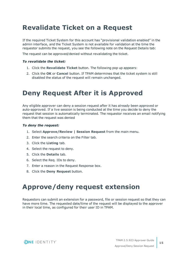# <span id="page-14-0"></span>**Revalidate Ticket on a Request**

If the required Ticket System for this account has "provisional validation enabled" in the admin interface, and the Ticket System is not available for validation at the time the requestor submits the request, you see the following note on the Request Details tab:

The request can be approved/denied without revalidating the ticket.

### *To revalidate the ticket:*

- 1. Click the **Revalidate Ticket** button. The following pop up appears:
- 2. Click the **OK** or **Cancel** button. If TPAM determines that the ticket system is still disabled the status of the request will remain unchanged.

# <span id="page-14-1"></span>**Deny Request After it is Approved**

Any eligible approver can deny a session request after it has already been approved or auto-approved. If a live session is being conducted at the time you decide to deny the request that session is automatically terminated. The requestor receives an email notifying them that the request was denied

### *To deny the request:*

- 1. Select **Approve/Review | Session Request** from the main menu.
- 2. Enter the search criteria on the Filter tab.
- 3. Click the **Listing** tab.
- 4. Select the request to deny.
- 5. Click the **Details** tab.
- 6. Select the Req. IDs to deny.
- 7. Enter a reason in the Request Response box.
- <span id="page-14-2"></span>8. Click the **Deny Request** button.

## **Approve/deny request extension**

Requestors can submit an extension for a password, file or session request so that they can have more time. The requested date/time of the request will be displayed to the approver in their local time, as configured for their user ID in TPAM.

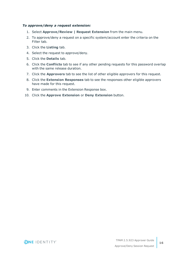### *To approve/deny a request extension:*

- 1. Select **Approve/Review | Request Extension** from the main menu.
- 2. To approve/deny a request on a specific system/account enter the criteria on the Filter tab.
- 3. Click the **Listing** tab.
- 4. Select the request to approve/deny.
- 5. Click the **Details** tab.
- 6. Click the **Conflicts** tab to see if any other pending requests for this password overlap with the same release duration.
- 7. Click the **Approvers** tab to see the list of other eligible approvers for this request.
- 8. Click the **Extension Responses** tab to see the responses other eligible approvers have made for this request.
- 9. Enter comments in the Extension Response box.
- 10. Click the **Approve Extension** or **Deny Extension** button.

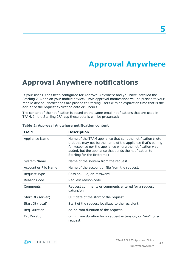# **Approval Anywhere**

## <span id="page-16-1"></span><span id="page-16-0"></span>**Approval Anywhere notifications**

If your user ID has been configured for Approval Anywhere and you have installed the Starling 2FA app on your mobile device, TPAM approval notifications will be pushed to your mobile device. Notfications are pushed to Starling users with an expiration time that is the earlier of the request expiration date or 8 hours.

The content of the notification is based on the same email notifications that are used in TPAM. In the Starling 2FA app these details will be presented:

| <b>Field</b>                | <b>Description</b>                                                                                                                                                                                                                                                                   |
|-----------------------------|--------------------------------------------------------------------------------------------------------------------------------------------------------------------------------------------------------------------------------------------------------------------------------------|
| <b>Appliance Name</b>       | Name of the TPAM appliance that sent the notification (note<br>that this may not be the name of the appliance that's polling<br>for response nor the appliance where the notification was<br>added, but the appliance that sends the notification to<br>Starling for the first time) |
| System Name                 | Name of the system from the request.                                                                                                                                                                                                                                                 |
| <b>Account or File Name</b> | Name of the account or file from the request.                                                                                                                                                                                                                                        |
| Request Type                | Session, File, or Password                                                                                                                                                                                                                                                           |
| Reason Code                 | Request reason code                                                                                                                                                                                                                                                                  |
| Comments                    | Request comments or comments entered for a request<br>extension                                                                                                                                                                                                                      |
| Start Dt (server)           | UTC date of the start of the request.                                                                                                                                                                                                                                                |
| Start Dt (local)            | Start of the request localized to the recipient.                                                                                                                                                                                                                                     |
| Reg Duration                | dd:hh:mm duration of the request.                                                                                                                                                                                                                                                    |
| <b>Ext Duration</b>         | dd:hh:mm duration for a request extension, or "n/a" for a<br>request.                                                                                                                                                                                                                |

### **Table 2: Approval Anywhere notification content**



**17**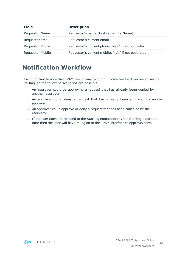| <b>Field</b>            | <b>Description</b>                                  |
|-------------------------|-----------------------------------------------------|
| <b>Requestor Name</b>   | Requestor's name (LastName FirstName).              |
| <b>Requestor Email</b>  | Requestor's current email                           |
| Requestor Phone         | Requestor's current phone, "n/a" if not populated.  |
| <b>Requestor Mobile</b> | Requestor's current mobile, "n/a" if not populated. |

### <span id="page-17-0"></span>**Notification Workflow**

It is important to note that TPAM has no way to communicate feedback on responses to Starling, so the following scenarios are possible:

- An approver could be approving a request that has already been denied by another approver.
- An approver could deny a request that has already been approved by another approver.
- An approver could approve or deny a request that has been canceled by the requestor.
- If the user does not respond to the Starling notification by the Starling expiration time then the user will have to log on to the TPAM interface to approve/deny.

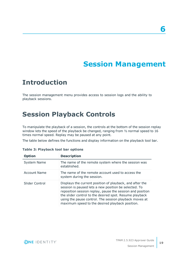# **Session Management**

## <span id="page-18-1"></span><span id="page-18-0"></span>**Introduction**

The session management menu provides access to session logs and the ability to playback sessions.

# <span id="page-18-2"></span>**Session Playback Controls**

To manipulate the playback of a session, the controls at the bottom of the session replay window lets the speed of the playback be changed, ranging from  $1/2$  normal speed to 16 times normal speed. Replay may be paused at any point.

The table below defines the functions and display information on the playback tool bar.

| <b>Option</b>      | <b>Description</b>                                                                                                                                                                                                                                                                                                                                     |
|--------------------|--------------------------------------------------------------------------------------------------------------------------------------------------------------------------------------------------------------------------------------------------------------------------------------------------------------------------------------------------------|
| <b>System Name</b> | The name of the remote system where the session was<br>established.                                                                                                                                                                                                                                                                                    |
| Account Name       | The name of the remote account used to access the<br>system during the session.                                                                                                                                                                                                                                                                        |
| Slider Control     | Displays the current position of playback, and after the<br>session is paused lets a new position be selected. To<br>reposition session replay, pause the session and position<br>the slider control to the desired spot. Resume playback<br>using the pause control. The session playback moves at<br>maximum speed to the desired playback position. |

|  |  | Table 3: Playback tool bar options |  |  |  |
|--|--|------------------------------------|--|--|--|
|--|--|------------------------------------|--|--|--|



**6**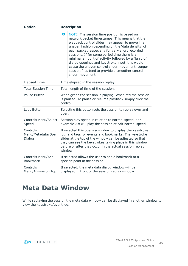| <b>Option</b>                            | <b>Description</b>                                                                                                                                                                                                                                                                                                                                                                                                                                                                                                                                  |  |
|------------------------------------------|-----------------------------------------------------------------------------------------------------------------------------------------------------------------------------------------------------------------------------------------------------------------------------------------------------------------------------------------------------------------------------------------------------------------------------------------------------------------------------------------------------------------------------------------------------|--|
|                                          | 6<br>NOTE: The session time position is based on<br>network packet timestamps. This means that the<br>playback control slider may appear to move in an<br>uneven fashion depending on the 'data density' of<br>each packet, especially for very short recorded<br>sessions. If for some period time there is a<br>minimal amount of activity followed by a flurry of<br>dialog openings and keystroke input, this would<br>cause the uneven control slider movement. Longer<br>session files tend to provide a smoother control<br>slider movement. |  |
| <b>Elapsed Time</b>                      | Time elapsed in the session replay.                                                                                                                                                                                                                                                                                                                                                                                                                                                                                                                 |  |
| <b>Total Session Time</b>                | Total length of time of the session.                                                                                                                                                                                                                                                                                                                                                                                                                                                                                                                |  |
| Pause Button                             | When green the session is playing. When red the session<br>is paused. To pause or resume playback simply click the<br>control.                                                                                                                                                                                                                                                                                                                                                                                                                      |  |
| Loop Button                              | Selecting this button sets the session to replay over and<br>over.                                                                                                                                                                                                                                                                                                                                                                                                                                                                                  |  |
| Controls Menu/Select<br>Speed            | Session play speed in relation to normal speed. For<br>example .5x will play the session at half normal speed.                                                                                                                                                                                                                                                                                                                                                                                                                                      |  |
| Controls<br>Menu/Metadata/Open<br>Dialog | If selected this opens a window to display the keystroke<br>log, and tags for events and bookmarks. The keystroke<br>slider at the top of the window can be adjusted so that<br>they can see the keystrokes taking place in this window<br>before or after they occur in the actual session replay<br>window.                                                                                                                                                                                                                                       |  |
| Controls Menu/Add<br><b>Bookmark</b>     | If selected allows the user to add a bookmark at a<br>specific point in the session.                                                                                                                                                                                                                                                                                                                                                                                                                                                                |  |
| Controls<br>Menu/Always on Top           | If selected, the meta data dialog window will be<br>displayed in front of the session replay window.                                                                                                                                                                                                                                                                                                                                                                                                                                                |  |

## <span id="page-19-0"></span>**Meta Data Window**

While replaying the session the meta data window can be displayed in another window to view the keystroke/event log.

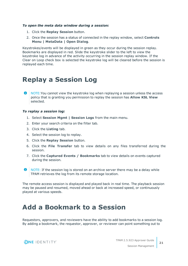### *To open the meta data window during a session:*

- 1. Click the **Replay Session** button.
- 2. Once the session has a status of connected in the replay window, select **Controls Menu | MetaData | Open Dialog**.

Keystrokes/events will be displayed in green as they occur during the session replay. Bookmarks are displayed in red. Slide the keystroke slider to the left to view the keystroke log in advance of the activity occurring in the session replay window. If the Clear on Loop check box is selected the keystroke log will be cleared before the session is replayed each time.

## <span id="page-20-0"></span>**Replay a Session Log**

**O** NOTE: You cannot view the keystroke log when replaying a session unless the access policy that is granting you permission to replay the session has **Allow KSL View** selected.

### *To replay a session log:*

- 1. Select **Session Mgmt | Session Logs** from the main menu.
- 2. Enter your search criteria on the filter tab.
- 3. Click the **Listing** tab.
- 4. Select the session log to replay.
- 5. Click the **Replay Session** button.
- 6. Click the **File Transfer** tab to view details on any files transferred during the session.
- 7. Click the **Captured Events / Bookmarks** tab to view details on events captured during the session.
- **O** NOTE: If the session log is stored on an archive server there may be a delay while TPAM retrieves the log from its remote storage location.

The remote access session is displayed and played back in real time. The playback session may be paused and resumed, moved ahead or back at increased speed, or continuously played at various speeds.

## <span id="page-20-1"></span>**Add a Bookmark to a Session**

Requestors, approvers, and reviewers have the ability to add bookmarks to a session log. By adding a bookmark, the requestor, approver, or reviewer can point something out to

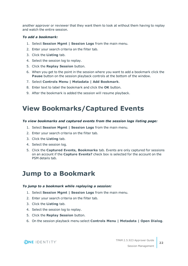another approver or reviewer that they want them to look at without them having to replay and watch the entire session.

### *To add a bookmark:*

- 1. Select **Session Mgmt | Session Logs** from the main menu.
- 2. Enter your search criteria on the filter tab.
- 3. Click the **Listing** tab.
- 4. Select the session log to replay.
- 5. Click the **Replay Session** button.
- 6. When you get to the point in the session where you want to add a bookmark click the **Pause** button on the session playback controls at the bottom of the window.
- 7. Select **Controls Menu | Metadata | Add Bookmark**.
- 8. Enter text to label the bookmark and click the **OK** button.
- <span id="page-21-0"></span>9. After the bookmark is added the session will resume playback.

### **View Bookmarks/Captured Events**

### *To view bookmarks and captured events from the session logs listing page:*

- 1. Select **Session Mgmt | Session Logs** from the main menu.
- 2. Enter your search criteria on the filter tab.
- 3. Click the **Listing** tab.
- 4. Select the session log.
- 5. Click the **Captured Events, Bookmarks** tab. Events are only captured for sessions on an account if the **Capture Events?** check box is selected for the account on the PSM details tab.

### <span id="page-21-1"></span>**Jump to a Bookmark**

### *To jump to a bookmark while replaying a session:*

- 1. Select **Session Mgmt | Session Logs** from the main menu.
- 2. Enter your search criteria on the filter tab.
- 3. Click the **Listing** tab.
- 4. Select the session log to replay.
- 5. Click the **Replay Session** button.
- 6. On the session playback menu select **Controls Menu | Metadata | Open Dialog**.

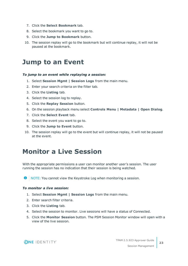- 7. Click the **Select Bookmark** tab.
- 8. Select the bookmark you want to go to.
- 9. Click the **Jump to Bookmark** button.
- 10. The session replay will go to the bookmark but will continue replay, it will not be paused at the bookmark.

### <span id="page-22-0"></span>**Jump to an Event**

### *To jump to an event while replaying a session:*

- 1. Select **Session Mgmt | Session Logs** from the main menu.
- 2. Enter your search criteria on the filter tab.
- 3. Click the **Listing** tab.
- 4. Select the session log to replay.
- 5. Click the **Replay Session** button.
- 6. On the session playback menu select **Controls Menu | Metadata | Open Dialog**.
- 7. Click the **Select Event** tab.
- 8. Select the event you want to go to.
- 9. Click the **Jump to Event** button.
- 10. The session replay will go to the event but will continue replay, it will not be paused at the event.

## <span id="page-22-1"></span>**Monitor a Live Session**

With the appropriate permissions a user can monitor another user's session. The user running the session has no indication that their session is being watched.

NOTE: You cannot view the Keystroke Log when monitoring a session. O

### *To monitor a live session:*

- 1. Select **Session Mgmt | Session Logs** from the main menu.
- 2. Enter search filter criteria.
- 3. Click the **Listing** tab.
- 4. Select the session to monitor. Live sessions will have a status of Connected.
- 5. Click the **Monitor Session** button. The PSM Session Monitor window will open with a view of the live session.

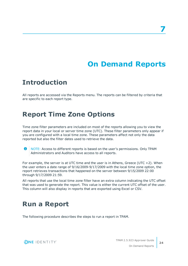# **On Demand Reports**

## <span id="page-23-1"></span><span id="page-23-0"></span>**Introduction**

All reports are accessed via the Reports menu. The reports can be filtered by criteria that are specific to each report type.

# <span id="page-23-2"></span>**Report Time Zone Options**

Time zone filter parameters are included on most of the reports allowing you to view the report data in your local or server time zone (UTC). These filter parameters only appear if you are configured with a local time zone. These parameters affect not only the data reported but also the filter dates used to retrieve the data.

 $\bullet$ NOTE: Access to different reports is based on the user's permissions. Only TPAM Administrators and Auditors have access to all reports.

For example, the server is at UTC time and the user is in Athens, Greece (UTC  $+2$ ). When the user enters a date range of 9/16/2009-9/17/2009 with the local time zone option, the report retrieves transactions that happened on the server between 9/15/2009 22:00 through 9/17/2009 21:59.

All reports that use the local time zone filter have an extra column indicating the UTC offset that was used to generate the report. This value is either the current UTC offset of the user. This column will also display in reports that are exported using Excel or CSV.

# <span id="page-23-3"></span>**Run a Report**

The following procedure describes the steps to run a report in TPAM.



**24**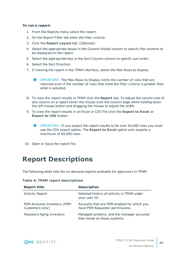### *To run a report:*

- 1. From the Reports menu select the report.
- 2. On the Report Filter tab enter the filter criteria.
- 3. Click the **Report Layout** tab. (Optional)
- 4. Select the appropriate boxes in the Column Visible column to specify the columns to be displayed on the report.
- 5. Select the appropriate box in the Sort Column column to specify sort order.
- 6. Select the Sort Direction.
- 7. If viewing the report in the TPAM interface, select the Max Rows to display.
	- **O** | IMPORTANT: The Max Rows to Display limits the number of rows that are returned even if the number of rows that meet the filter criteria is greater than what is selected.
- 8. To view the report results in TPAM click the **Report** tab. To adjust the column size of any column on a report hover the mouse over the column edge while holding down the left mouse button and dragging the mouse to adjust the width.
- 9. To view the report results in an Excel or CSV file click the **Export to Excel** or **Export to CSV** button.
	- **IMPORTANT:** If you expect the report results to be over 64,000 rows you must use the CSV export option. The **Export to Excel** option only exports a maximum of 64,000 rows.
- <span id="page-24-0"></span>10. Open or Save the report file.

# **Report Descriptions**

The following table lists the on demand reports available for approvers in TPAM.

|  |  |  | <b>Table 4: TPAM report descriptions</b> |  |  |
|--|--|--|------------------------------------------|--|--|
|--|--|--|------------------------------------------|--|--|

| <b>Report title</b>                            | <b>Description</b>                                                             |
|------------------------------------------------|--------------------------------------------------------------------------------|
| <b>Activity Report</b>                         | Detailed history of activity in TPAM under<br>your user ID.                    |
| PSM Accounts Inventory (PSM<br>Customers only) | Accounts that are PSM enabled for which you<br>have PSM Requestor permissions. |
| Password Aging Inventory                       | Managed systems, and the manager accounts<br>that reside on those systems.     |

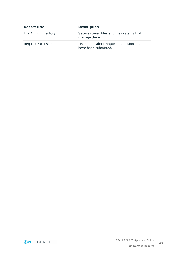| <b>Report title</b>       | <b>Description</b>                                                 |
|---------------------------|--------------------------------------------------------------------|
| File Aging Inventory      | Secure stored files and the systems that<br>manage them.           |
| <b>Request Extensions</b> | List details about request extensions that<br>have been submitted. |